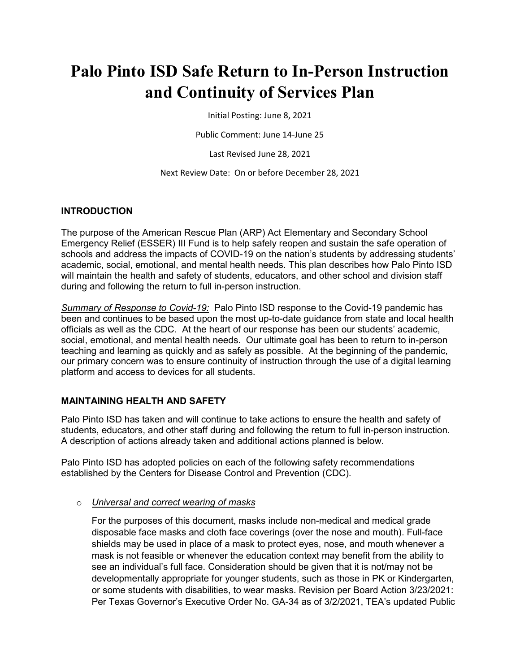# **Palo Pinto ISD Safe Return to In-Person Instruction and Continuity of Services Plan**

Initial Posting: June 8, 2021

Public Comment: June 14-June 25

Last Revised June 28, 2021

Next Review Date: On or before December 28, 2021

#### **INTRODUCTION**

The purpose of the American Rescue Plan (ARP) Act Elementary and Secondary School Emergency Relief (ESSER) III Fund is to help safely reopen and sustain the safe operation of schools and address the impacts of COVID-19 on the nation's students by addressing students' academic, social, emotional, and mental health needs. This plan describes how Palo Pinto ISD will maintain the health and safety of students, educators, and other school and division staff during and following the return to full in-person instruction.

*Summary of Response to Covid-19:* Palo Pinto ISD response to the Covid-19 pandemic has been and continues to be based upon the most up-to-date guidance from state and local health officials as well as the CDC. At the heart of our response has been our students' academic, social, emotional, and mental health needs. Our ultimate goal has been to return to in-person teaching and learning as quickly and as safely as possible. At the beginning of the pandemic, our primary concern was to ensure continuity of instruction through the use of a digital learning platform and access to devices for all students.

#### **MAINTAINING HEALTH AND SAFETY**

Palo Pinto ISD has taken and will continue to take actions to ensure the health and safety of students, educators, and other staff during and following the return to full in-person instruction. A description of actions already taken and additional actions planned is below.

Palo Pinto ISD has adopted policies on each of the following safety recommendations established by the Centers for Disease Control and Prevention (CDC).

#### o *Universal and correct wearing of masks*

For the purposes of this document, masks include non-medical and medical grade disposable face masks and cloth face coverings (over the nose and mouth). Full-face shields may be used in place of a mask to protect eyes, nose, and mouth whenever a mask is not feasible or whenever the education context may benefit from the ability to see an individual's full face. Consideration should be given that it is not/may not be developmentally appropriate for younger students, such as those in PK or Kindergarten, or some students with disabilities, to wear masks. Revision per Board Action 3/23/2021: Per Texas Governor's Executive Order No. GA-34 as of 3/2/2021, TEA's updated Public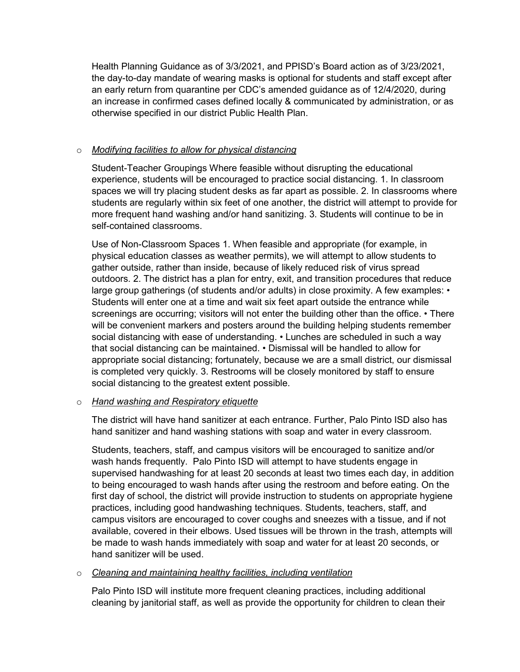Health Planning Guidance as of 3/3/2021, and PPISD's Board action as of 3/23/2021, the day-to-day mandate of wearing masks is optional for students and staff except after an early return from quarantine per CDC's amended guidance as of 12/4/2020, during an increase in confirmed cases defined locally & communicated by administration, or as otherwise specified in our district Public Health Plan.

## o *Modifying facilities to allow for physical distancing*

Student-Teacher Groupings Where feasible without disrupting the educational experience, students will be encouraged to practice social distancing. 1. In classroom spaces we will try placing student desks as far apart as possible. 2. In classrooms where students are regularly within six feet of one another, the district will attempt to provide for more frequent hand washing and/or hand sanitizing. 3. Students will continue to be in self-contained classrooms.

Use of Non-Classroom Spaces 1. When feasible and appropriate (for example, in physical education classes as weather permits), we will attempt to allow students to gather outside, rather than inside, because of likely reduced risk of virus spread outdoors. 2. The district has a plan for entry, exit, and transition procedures that reduce large group gatherings (of students and/or adults) in close proximity. A few examples: • Students will enter one at a time and wait six feet apart outside the entrance while screenings are occurring; visitors will not enter the building other than the office. • There will be convenient markers and posters around the building helping students remember social distancing with ease of understanding. • Lunches are scheduled in such a way that social distancing can be maintained. • Dismissal will be handled to allow for appropriate social distancing; fortunately, because we are a small district, our dismissal is completed very quickly. 3. Restrooms will be closely monitored by staff to ensure social distancing to the greatest extent possible.

## o *Hand washing and Respiratory etiquette*

The district will have hand sanitizer at each entrance. Further, Palo Pinto ISD also has hand sanitizer and hand washing stations with soap and water in every classroom.

Students, teachers, staff, and campus visitors will be encouraged to sanitize and/or wash hands frequently. Palo Pinto ISD will attempt to have students engage in supervised handwashing for at least 20 seconds at least two times each day, in addition to being encouraged to wash hands after using the restroom and before eating. On the first day of school, the district will provide instruction to students on appropriate hygiene practices, including good handwashing techniques. Students, teachers, staff, and campus visitors are encouraged to cover coughs and sneezes with a tissue, and if not available, covered in their elbows. Used tissues will be thrown in the trash, attempts will be made to wash hands immediately with soap and water for at least 20 seconds, or hand sanitizer will be used.

#### o *Cleaning and maintaining healthy facilities, including ventilation*

Palo Pinto ISD will institute more frequent cleaning practices, including additional cleaning by janitorial staff, as well as provide the opportunity for children to clean their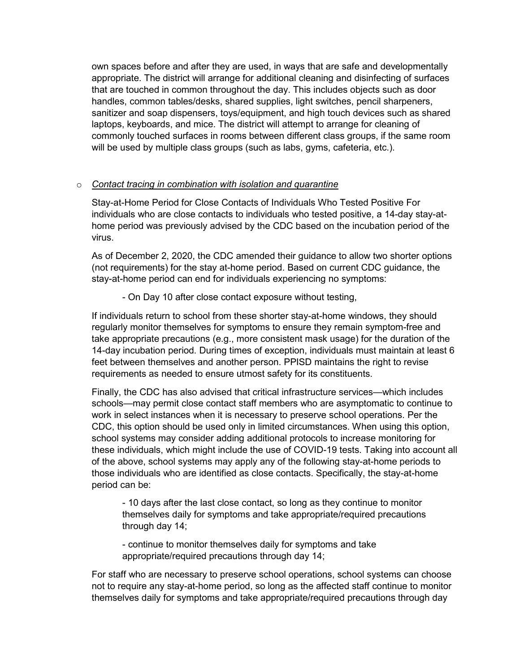own spaces before and after they are used, in ways that are safe and developmentally appropriate. The district will arrange for additional cleaning and disinfecting of surfaces that are touched in common throughout the day. This includes objects such as door handles, common tables/desks, shared supplies, light switches, pencil sharpeners, sanitizer and soap dispensers, toys/equipment, and high touch devices such as shared laptops, keyboards, and mice. The district will attempt to arrange for cleaning of commonly touched surfaces in rooms between different class groups, if the same room will be used by multiple class groups (such as labs, gyms, cafeteria, etc.).

#### o *Contact tracing in combination with isolation and quarantine*

Stay-at-Home Period for Close Contacts of Individuals Who Tested Positive For individuals who are close contacts to individuals who tested positive, a 14-day stay-athome period was previously advised by the CDC based on the incubation period of the virus.

As of December 2, 2020, the CDC amended their guidance to allow two shorter options (not requirements) for the stay at-home period. Based on current CDC guidance, the stay-at-home period can end for individuals experiencing no symptoms:

- On Day 10 after close contact exposure without testing,

If individuals return to school from these shorter stay-at-home windows, they should regularly monitor themselves for symptoms to ensure they remain symptom-free and take appropriate precautions (e.g., more consistent mask usage) for the duration of the 14-day incubation period. During times of exception, individuals must maintain at least 6 feet between themselves and another person. PPISD maintains the right to revise requirements as needed to ensure utmost safety for its constituents.

Finally, the CDC has also advised that critical infrastructure services—which includes schools—may permit close contact staff members who are asymptomatic to continue to work in select instances when it is necessary to preserve school operations. Per the CDC, this option should be used only in limited circumstances. When using this option, school systems may consider adding additional protocols to increase monitoring for these individuals, which might include the use of COVID-19 tests. Taking into account all of the above, school systems may apply any of the following stay-at-home periods to those individuals who are identified as close contacts. Specifically, the stay-at-home period can be:

- 10 days after the last close contact, so long as they continue to monitor themselves daily for symptoms and take appropriate/required precautions through day 14;

- continue to monitor themselves daily for symptoms and take appropriate/required precautions through day 14;

For staff who are necessary to preserve school operations, school systems can choose not to require any stay-at-home period, so long as the affected staff continue to monitor themselves daily for symptoms and take appropriate/required precautions through day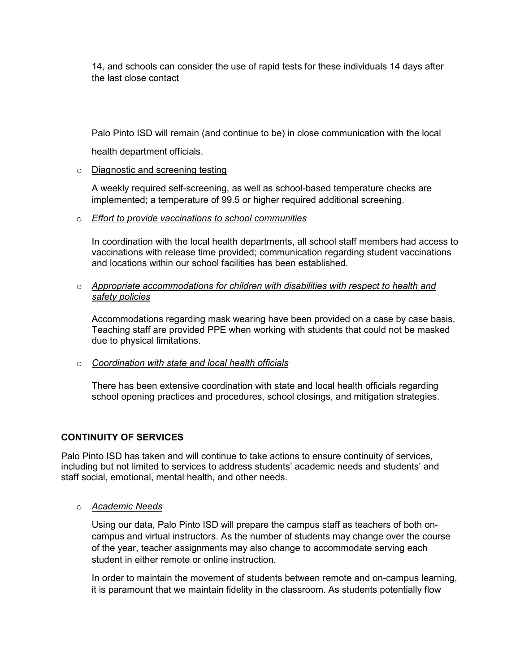14, and schools can consider the use of rapid tests for these individuals 14 days after the last close contact

Palo Pinto ISD will remain (and continue to be) in close communication with the local

health department officials.

o Diagnostic and screening testing

A weekly required self-screening, as well as school-based temperature checks are implemented; a temperature of 99.5 or higher required additional screening.

o *Effort to provide vaccinations to school communities* 

In coordination with the local health departments, all school staff members had access to vaccinations with release time provided; communication regarding student vaccinations and locations within our school facilities has been established.

o *Appropriate accommodations for children with disabilities with respect to health and safety policies*

Accommodations regarding mask wearing have been provided on a case by case basis. Teaching staff are provided PPE when working with students that could not be masked due to physical limitations.

o *Coordination with state and local health officials*

There has been extensive coordination with state and local health officials regarding school opening practices and procedures, school closings, and mitigation strategies.

## **CONTINUITY OF SERVICES**

Palo Pinto ISD has taken and will continue to take actions to ensure continuity of services, including but not limited to services to address students' academic needs and students' and staff social, emotional, mental health, and other needs.

o *Academic Needs*

Using our data, Palo Pinto ISD will prepare the campus staff as teachers of both oncampus and virtual instructors. As the number of students may change over the course of the year, teacher assignments may also change to accommodate serving each student in either remote or online instruction.

In order to maintain the movement of students between remote and on-campus learning, it is paramount that we maintain fidelity in the classroom. As students potentially flow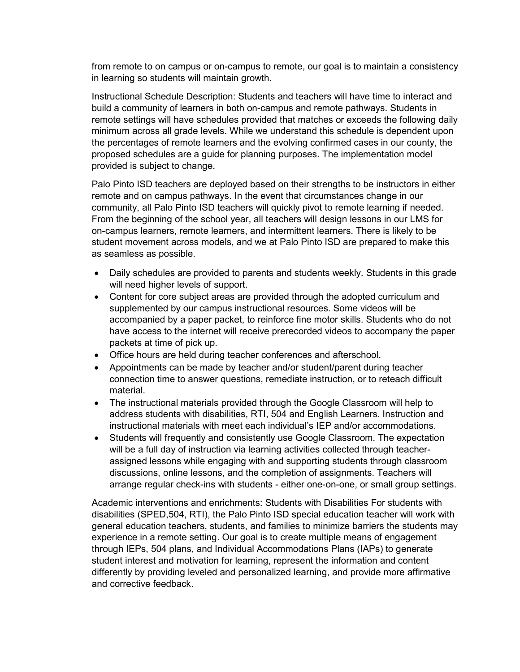from remote to on campus or on-campus to remote, our goal is to maintain a consistency in learning so students will maintain growth.

Instructional Schedule Description: Students and teachers will have time to interact and build a community of learners in both on-campus and remote pathways. Students in remote settings will have schedules provided that matches or exceeds the following daily minimum across all grade levels. While we understand this schedule is dependent upon the percentages of remote learners and the evolving confirmed cases in our county, the proposed schedules are a guide for planning purposes. The implementation model provided is subject to change.

Palo Pinto ISD teachers are deployed based on their strengths to be instructors in either remote and on campus pathways. In the event that circumstances change in our community, all Palo Pinto ISD teachers will quickly pivot to remote learning if needed. From the beginning of the school year, all teachers will design lessons in our LMS for on-campus learners, remote learners, and intermittent learners. There is likely to be student movement across models, and we at Palo Pinto ISD are prepared to make this as seamless as possible.

- Daily schedules are provided to parents and students weekly. Students in this grade will need higher levels of support.
- Content for core subject areas are provided through the adopted curriculum and supplemented by our campus instructional resources. Some videos will be accompanied by a paper packet, to reinforce fine motor skills. Students who do not have access to the internet will receive prerecorded videos to accompany the paper packets at time of pick up.
- Office hours are held during teacher conferences and afterschool.
- Appointments can be made by teacher and/or student/parent during teacher connection time to answer questions, remediate instruction, or to reteach difficult material.
- The instructional materials provided through the Google Classroom will help to address students with disabilities, RTI, 504 and English Learners. Instruction and instructional materials with meet each individual's IEP and/or accommodations.
- Students will frequently and consistently use Google Classroom. The expectation will be a full day of instruction via learning activities collected through teacherassigned lessons while engaging with and supporting students through classroom discussions, online lessons, and the completion of assignments. Teachers will arrange regular check-ins with students - either one-on-one, or small group settings.

Academic interventions and enrichments: Students with Disabilities For students with disabilities (SPED,504, RTI), the Palo Pinto ISD special education teacher will work with general education teachers, students, and families to minimize barriers the students may experience in a remote setting. Our goal is to create multiple means of engagement through IEPs, 504 plans, and Individual Accommodations Plans (IAPs) to generate student interest and motivation for learning, represent the information and content differently by providing leveled and personalized learning, and provide more affirmative and corrective feedback.